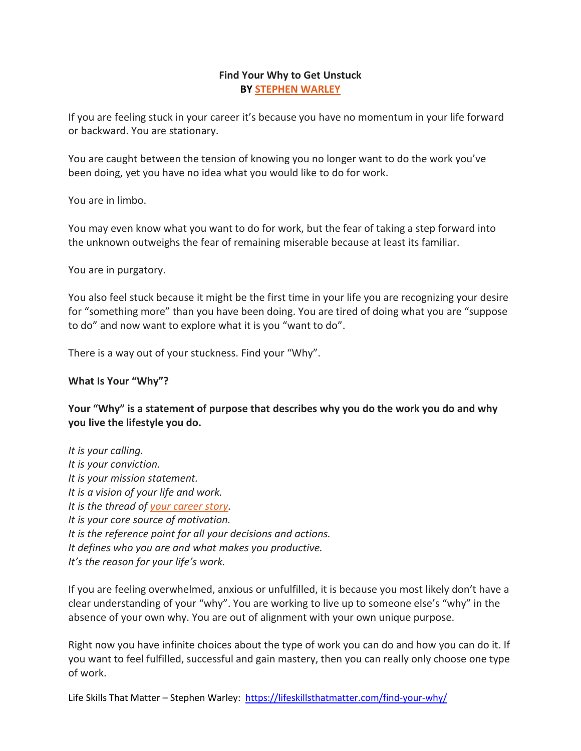### **Find Your Why to Get Unstuck BY [STEPHEN WARLEY](https://lifeskillsthatmatter.com/about-life-skills-that-matter/)**

If you are feeling stuck in your career it's because you have no momentum in your life forward or backward. You are stationary.

You are caught between the tension of knowing you no longer want to do the work you've been doing, yet you have no idea what you would like to do for work.

You are in limbo.

You may even know what you want to do for work, but the fear of taking a step forward into the unknown outweighs the fear of remaining miserable because at least its familiar.

You are in purgatory.

You also feel stuck because it might be the first time in your life you are recognizing your desire for "something more" than you have been doing. You are tired of doing what you are "suppose to do" and now want to explore what it is you "want to do".

There is a way out of your stuckness. Find your "Why".

## **What Is Your "Why"?**

**Your "Why" is a statement of purpose that describes why you do the work you do and why you live the lifestyle you do.**

*It is your calling. It is your conviction. It is your mission statement. It is a vision of your life and work. It is the thread of [your career story.](https://lifeskillsthatmatter.com/career-story/) It is your core source of motivation. It is the reference point for all your decisions and actions. It defines who you are and what makes you productive. It's the reason for your life's work.*

If you are feeling overwhelmed, anxious or unfulfilled, it is because you most likely don't have a clear understanding of your "why". You are working to live up to someone else's "why" in the absence of your own why. You are out of alignment with your own unique purpose.

Right now you have infinite choices about the type of work you can do and how you can do it. If you want to feel fulfilled, successful and gain mastery, then you can really only choose one type of work.

Life Skills That Matter - Stephen Warley:<https://lifeskillsthatmatter.com/find-your-why/>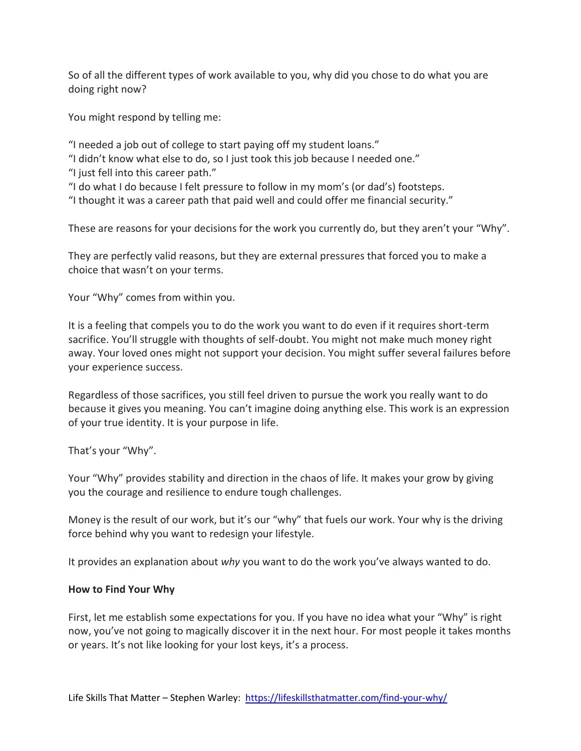So of all the different types of work available to you, why did you chose to do what you are doing right now?

You might respond by telling me:

"I needed a job out of college to start paying off my student loans."

"I didn't know what else to do, so I just took this job because I needed one."

"I just fell into this career path."

"I do what I do because I felt pressure to follow in my mom's (or dad's) footsteps.

"I thought it was a career path that paid well and could offer me financial security."

These are reasons for your decisions for the work you currently do, but they aren't your "Why".

They are perfectly valid reasons, but they are external pressures that forced you to make a choice that wasn't on your terms.

Your "Why" comes from within you.

It is a feeling that compels you to do the work you want to do even if it requires short-term sacrifice. You'll struggle with thoughts of self-doubt. You might not make much money right away. Your loved ones might not support your decision. You might suffer several failures before your experience success.

Regardless of those sacrifices, you still feel driven to pursue the work you really want to do because it gives you meaning. You can't imagine doing anything else. This work is an expression of your true identity. It is your purpose in life.

That's your "Why".

Your "Why" provides stability and direction in the chaos of life. It makes your grow by giving you the courage and resilience to endure tough challenges.

Money is the result of our work, but it's our "why" that fuels our work. Your why is the driving force behind why you want to redesign your lifestyle.

It provides an explanation about *why* you want to do the work you've always wanted to do.

## **How to Find Your Why**

First, let me establish some expectations for you. If you have no idea what your "Why" is right now, you've not going to magically discover it in the next hour. For most people it takes months or years. It's not like looking for your lost keys, it's a process.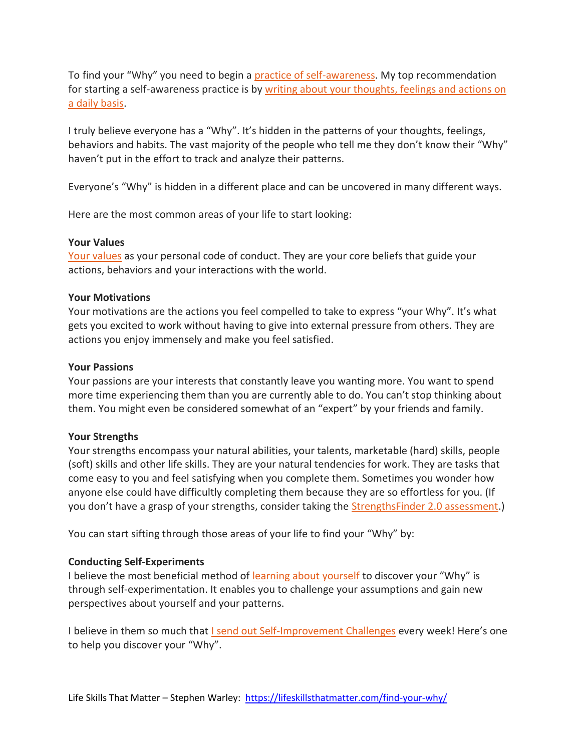To find your "Why" you need to begin a [practice of self-awareness.](https://lifeskillsthatmatter.com/self-awareness/) My top recommendation for starting a self-awareness practice is by [writing about your thoughts, feelings and actions on](https://lifeskillsthatmatter.com/number-one-self-awareness-habit/)  [a daily basis.](https://lifeskillsthatmatter.com/number-one-self-awareness-habit/)

I truly believe everyone has a "Why". It's hidden in the patterns of your thoughts, feelings, behaviors and habits. The vast majority of the people who tell me they don't know their "Why" haven't put in the effort to track and analyze their patterns.

Everyone's "Why" is hidden in a different place and can be uncovered in many different ways.

Here are the most common areas of your life to start looking:

#### **Your Values**

[Your values](https://lifeskillsthatmatter.com/first-rule-personal-productivity/) as your personal code of conduct. They are your core beliefs that guide your actions, behaviors and your interactions with the world.

#### **Your Motivations**

Your motivations are the actions you feel compelled to take to express "your Why". It's what gets you excited to work without having to give into external pressure from others. They are actions you enjoy immensely and make you feel satisfied.

#### **Your Passions**

Your passions are your interests that constantly leave you wanting more. You want to spend more time experiencing them than you are currently able to do. You can't stop thinking about them. You might even be considered somewhat of an "expert" by your friends and family.

#### **Your Strengths**

Your strengths encompass your natural abilities, your talents, marketable (hard) skills, people (soft) skills and other life skills. They are your natural tendencies for work. They are tasks that come easy to you and feel satisfying when you complete them. Sometimes you wonder how anyone else could have difficultly completing them because they are so effortless for you. (If you don't have a grasp of your strengths, consider taking the [StrengthsFinder 2.0 assessment.](https://www.gallupstrengthscenter.com/Purchase/en-US/Index))

You can start sifting through those areas of your life to find your "Why" by:

#### **Conducting Self-Experiments**

I believe the most beneficial method of [learning about yourself](https://lifeskillsthatmatter.com/learn-about-yourself/) to discover your "Why" is through self-experimentation. It enables you to challenge your assumptions and gain new perspectives about yourself and your patterns.

I believe in them so much that [I send out Self-Improvement Challenges](https://lifeskillsthatmatter.com/challenges/) every week! Here's one to help you discover your "Why".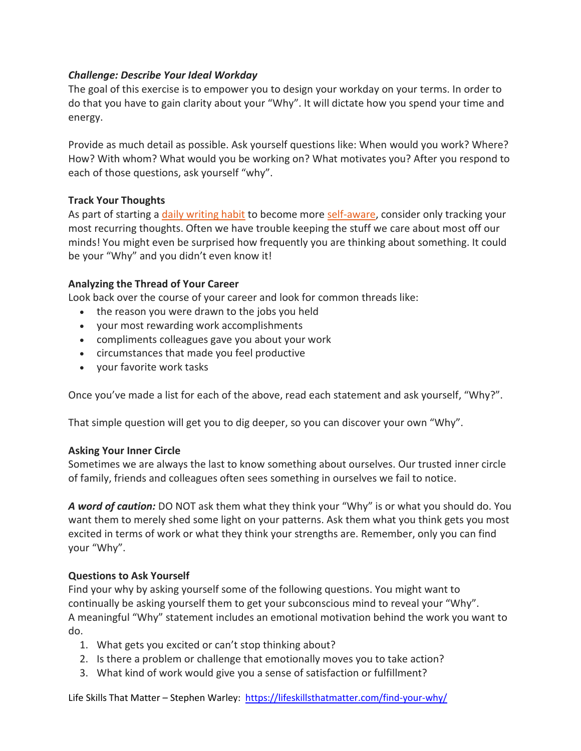## *Challenge: Describe Your Ideal Workday*

The goal of this exercise is to empower you to design your workday on your terms. In order to do that you have to gain clarity about your "Why". It will dictate how you spend your time and energy.

Provide as much detail as possible. Ask yourself questions like: When would you work? Where? How? With whom? What would you be working on? What motivates you? After you respond to each of those questions, ask yourself "why".

# **Track Your Thoughts**

As part of starting a [daily writing habit](https://lifeskillsthatmatter.com/number-one-self-awareness-habit/) to become more [self-aware,](https://lifeskillsthatmatter.com/self-awareness/) consider only tracking your most recurring thoughts. Often we have trouble keeping the stuff we care about most off our minds! You might even be surprised how frequently you are thinking about something. It could be your "Why" and you didn't even know it!

# **Analyzing the Thread of Your Career**

Look back over the course of your career and look for common threads like:

- the reason you were drawn to the jobs you held
- your most rewarding work accomplishments
- compliments colleagues gave you about your work
- circumstances that made you feel productive
- your favorite work tasks

Once you've made a list for each of the above, read each statement and ask yourself, "Why?".

That simple question will get you to dig deeper, so you can discover your own "Why".

## **Asking Your Inner Circle**

Sometimes we are always the last to know something about ourselves. Our trusted inner circle of family, friends and colleagues often sees something in ourselves we fail to notice.

*A word of caution:* DO NOT ask them what they think your "Why" is or what you should do. You want them to merely shed some light on your patterns. Ask them what you think gets you most excited in terms of work or what they think your strengths are. Remember, only you can find your "Why".

## **Questions to Ask Yourself**

Find your why by asking yourself some of the following questions. You might want to continually be asking yourself them to get your subconscious mind to reveal your "Why". A meaningful "Why" statement includes an emotional motivation behind the work you want to do.

- 1. What gets you excited or can't stop thinking about?
- 2. Is there a problem or challenge that emotionally moves you to take action?
- 3. What kind of work would give you a sense of satisfaction or fulfillment?

Life Skills That Matter – Stephen Warley:<https://lifeskillsthatmatter.com/find-your-why/>